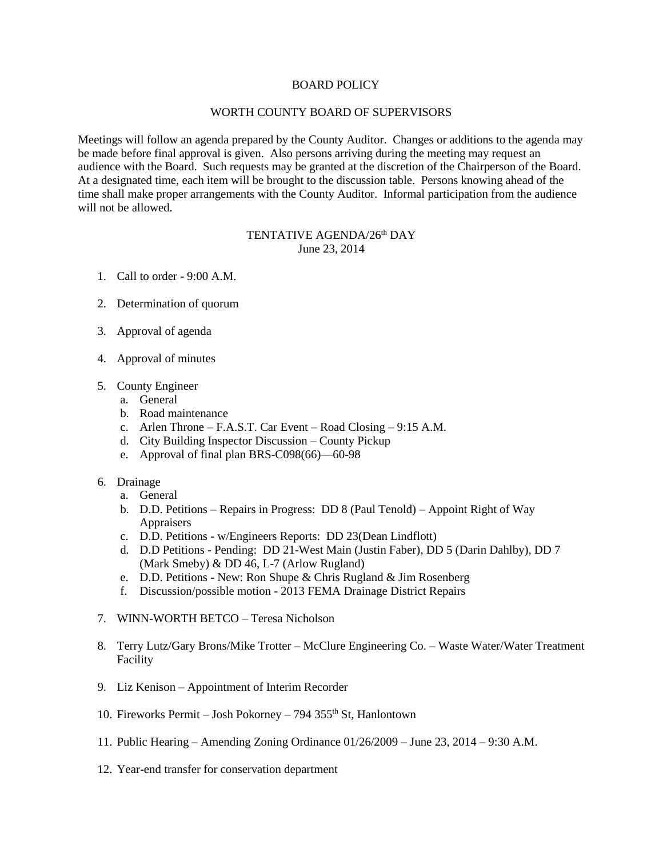## BOARD POLICY

## WORTH COUNTY BOARD OF SUPERVISORS

Meetings will follow an agenda prepared by the County Auditor. Changes or additions to the agenda may be made before final approval is given. Also persons arriving during the meeting may request an audience with the Board. Such requests may be granted at the discretion of the Chairperson of the Board. At a designated time, each item will be brought to the discussion table. Persons knowing ahead of the time shall make proper arrangements with the County Auditor. Informal participation from the audience will not be allowed.

## TENTATIVE AGENDA/26<sup>th</sup> DAY June 23, 2014

- 1. Call to order 9:00 A.M.
- 2. Determination of quorum
- 3. Approval of agenda
- 4. Approval of minutes
- 5. County Engineer
	- a. General
	- b. Road maintenance
	- c. Arlen Throne F.A.S.T. Car Event Road Closing 9:15 A.M.
	- d. City Building Inspector Discussion County Pickup
	- e. Approval of final plan BRS-C098(66)—60-98
- 6. Drainage
	- a. General
	- b. D.D. Petitions Repairs in Progress: DD 8 (Paul Tenold) Appoint Right of Way Appraisers
	- c. D.D. Petitions w/Engineers Reports: DD 23(Dean Lindflott)
	- d. D.D Petitions Pending: DD 21-West Main (Justin Faber), DD 5 (Darin Dahlby), DD 7 (Mark Smeby) & DD 46, L-7 (Arlow Rugland)
	- e. D.D. Petitions New: Ron Shupe & Chris Rugland & Jim Rosenberg
	- f. Discussion/possible motion 2013 FEMA Drainage District Repairs
- 7. WINN-WORTH BETCO Teresa Nicholson
- 8. Terry Lutz/Gary Brons/Mike Trotter McClure Engineering Co. Waste Water/Water Treatment Facility
- 9. Liz Kenison Appointment of Interim Recorder
- 10. Fireworks Permit Josh Pokorney 794 355th St, Hanlontown
- 11. Public Hearing Amending Zoning Ordinance 01/26/2009 June 23, 2014 9:30 A.M.
- 12. Year-end transfer for conservation department